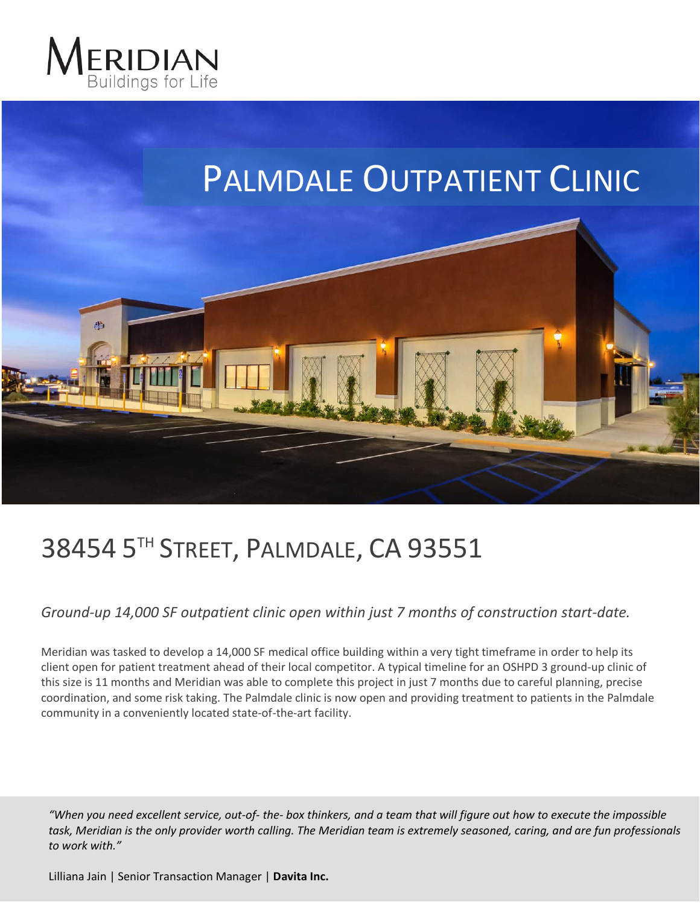



## 38454 5TH STREET, PALMDALE, CA 93551

*Ground-up 14,000 SF outpatient clinic open within just 7 months of construction start-date.*

Meridian was tasked to develop a 14,000 SF medical office building within a very tight timeframe in order to help its client open for patient treatment ahead of their local competitor. A typical timeline for an OSHPD 3 ground-up clinic of this size is 11 months and Meridian was able to complete this project in just 7 months due to careful planning, precise coordination, and some risk taking. The Palmdale clinic is now open and providing treatment to patients in the Palmdale community in a conveniently located state-of-the-art facility.

*"When you need excellent service, out-of- the- box thinkers, and a team that will figure out how to execute the impossible task, Meridian is the only provider worth calling. The Meridian team is extremely seasoned, caring, and are fun professionals to work with."*

Lilliana Jain | Senior Transaction Manager | **Davita Inc.**